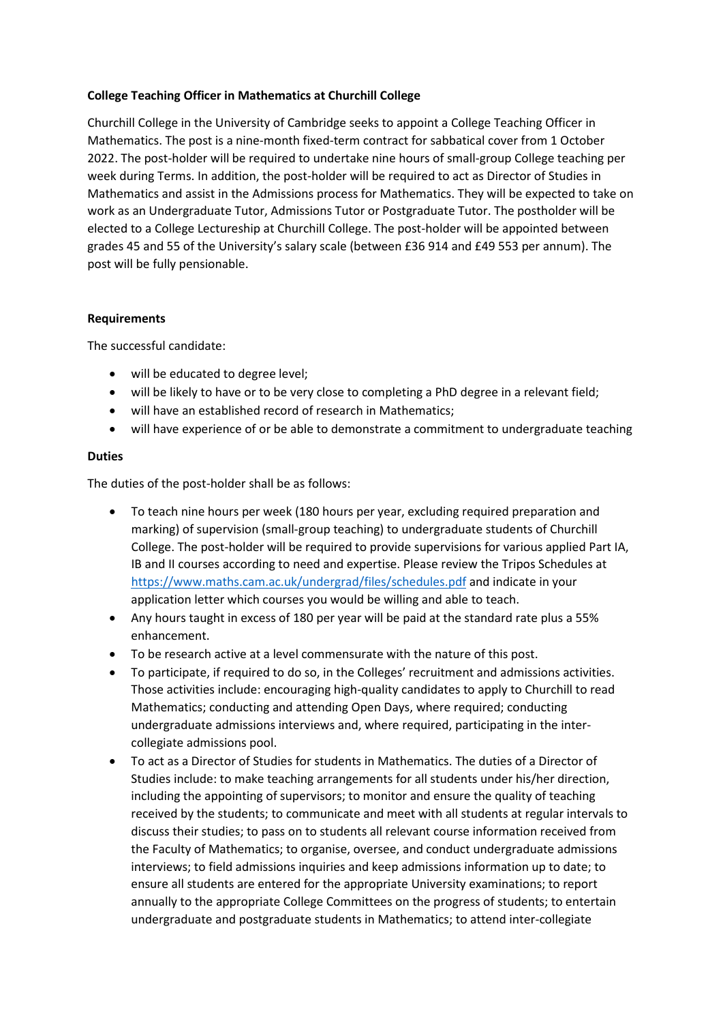## **College Teaching Officer in Mathematics at Churchill College**

Churchill College in the University of Cambridge seeks to appoint a College Teaching Officer in Mathematics. The post is a nine-month fixed-term contract for sabbatical cover from 1 October 2022. The post-holder will be required to undertake nine hours of small-group College teaching per week during Terms. In addition, the post-holder will be required to act as Director of Studies in Mathematics and assist in the Admissions process for Mathematics. They will be expected to take on work as an Undergraduate Tutor, Admissions Tutor or Postgraduate Tutor. The postholder will be elected to a College Lectureship at Churchill College. The post-holder will be appointed between grades 45 and 55 of the University's salary scale (between £36 914 and £49 553 per annum). The post will be fully pensionable.

## **Requirements**

The successful candidate:

- will be educated to degree level;
- will be likely to have or to be very close to completing a PhD degree in a relevant field;
- will have an established record of research in Mathematics;
- will have experience of or be able to demonstrate a commitment to undergraduate teaching

## **Duties**

The duties of the post-holder shall be as follows:

- To teach nine hours per week (180 hours per year, excluding required preparation and marking) of supervision (small-group teaching) to undergraduate students of Churchill College. The post-holder will be required to provide supervisions for various applied Part IA, IB and II courses according to need and expertise. Please review the Tripos Schedules at <https://www.maths.cam.ac.uk/undergrad/files/schedules.pdf> and indicate in your application letter which courses you would be willing and able to teach.
- Any hours taught in excess of 180 per year will be paid at the standard rate plus a 55% enhancement.
- To be research active at a level commensurate with the nature of this post.
- To participate, if required to do so, in the Colleges' recruitment and admissions activities. Those activities include: encouraging high-quality candidates to apply to Churchill to read Mathematics; conducting and attending Open Days, where required; conducting undergraduate admissions interviews and, where required, participating in the intercollegiate admissions pool.
- To act as a Director of Studies for students in Mathematics. The duties of a Director of Studies include: to make teaching arrangements for all students under his/her direction, including the appointing of supervisors; to monitor and ensure the quality of teaching received by the students; to communicate and meet with all students at regular intervals to discuss their studies; to pass on to students all relevant course information received from the Faculty of Mathematics; to organise, oversee, and conduct undergraduate admissions interviews; to field admissions inquiries and keep admissions information up to date; to ensure all students are entered for the appropriate University examinations; to report annually to the appropriate College Committees on the progress of students; to entertain undergraduate and postgraduate students in Mathematics; to attend inter-collegiate